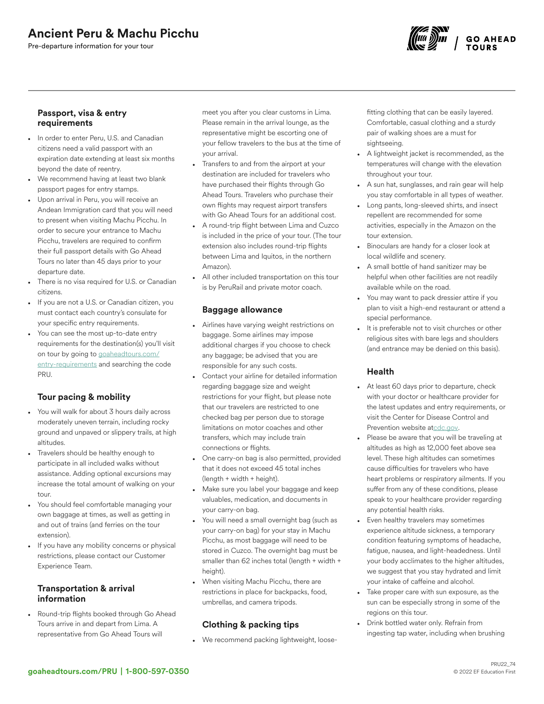# Ancient Peru & Machu Picchu

Pre-departure information for your tour



#### Passport, visa & entry requirements

- In order to enter Peru, U.S. and Canadian citizens need a valid passport with an expiration date extending at least six months beyond the date of reentry.
- We recommend having at least two blank passport pages for entry stamps.
- Upon arrival in Peru, you will receive an Andean Immigration card that you will need to present when visiting Machu Picchu. In order to secure your entrance to Machu Picchu, travelers are required to confirm their full passport details with Go Ahead Tours no later than 45 days prior to your departure date.
- There is no visa required for U.S. or Canadian citizens.
- If you are not a U.S. or Canadian citizen, you must contact each country's consulate for your specific entry requirements.
- You can see the most up-to-date entry requirements for the destination(s) you'll visit on tour by going to [goaheadtours.com/](/entry-requirements?tourCode=PRU) [entry-requirements](/entry-requirements?tourCode=PRU) and searching the code PRU.

## Tour pacing & mobility

- You will walk for about 3 hours daily across moderately uneven terrain, including rocky ground and unpaved or slippery trails, at high altitudes.
- Travelers should be healthy enough to participate in all included walks without assistance. Adding optional excursions may increase the total amount of walking on your tour.
- You should feel comfortable managing your own baggage at times, as well as getting in and out of trains (and ferries on the tour extension).
- If you have any mobility concerns or physical restrictions, please contact our Customer Experience Team.

### Transportation & arrival information

• Round-trip flights booked through Go Ahead Tours arrive in and depart from Lima. A representative from Go Ahead Tours will

meet you after you clear customs in Lima. Please remain in the arrival lounge, as the representative might be escorting one of your fellow travelers to the bus at the time of your arrival.

- Transfers to and from the airport at your destination are included for travelers who have purchased their flights through Go Ahead Tours. Travelers who purchase their own flights may request airport transfers with Go Ahead Tours for an additional cost.
- A round-trip flight between Lima and Cuzco is included in the price of your tour. (The tour extension also includes round-trip flights between Lima and Iquitos, in the northern Amazon).
- All other included transportation on this tour is by PeruRail and private motor coach.

#### Baggage allowance

- Airlines have varying weight restrictions on baggage. Some airlines may impose additional charges if you choose to check any baggage; be advised that you are responsible for any such costs.
- Contact your airline for detailed information regarding baggage size and weight restrictions for your flight, but please note that our travelers are restricted to one checked bag per person due to storage limitations on motor coaches and other transfers, which may include train connections or flights.
- One carry-on bag is also permitted, provided that it does not exceed 45 total inches (length + width + height).
- Make sure you label your baggage and keep valuables, medication, and documents in your carry-on bag.
- You will need a small overnight bag (such as your carry-on bag) for your stay in Machu Picchu, as most baggage will need to be stored in Cuzco. The overnight bag must be smaller than 62 inches total (length + width + height).
- When visiting Machu Picchu, there are restrictions in place for backpacks, food, umbrellas, and camera tripods.

## Clothing & packing tips

• We recommend packing lightweight, loose-

fitting clothing that can be easily layered. Comfortable, casual clothing and a sturdy pair of walking shoes are a must for sightseeing.

- A lightweight jacket is recommended, as the temperatures will change with the elevation throughout your tour.
- A sun hat, sunglasses, and rain gear will help you stay comfortable in all types of weather.
- Long pants, long-sleeved shirts, and insect repellent are recommended for some activities, especially in the Amazon on the tour extension.
- Binoculars are handy for a closer look at local wildlife and scenery.
- A small bottle of hand sanitizer may be helpful when other facilities are not readily available while on the road.
- You may want to pack dressier attire if you plan to visit a high-end restaurant or attend a special performance.
- It is preferable not to visit churches or other religious sites with bare legs and shoulders (and entrance may be denied on this basis).

## Health

- At least 60 days prior to departure, check with your doctor or healthcare provider for the latest updates and entry requirements, or visit the Center for Disease Control and Prevention website a[tcdc.gov.](https://www.cdc.gov/)
- Please be aware that you will be traveling at altitudes as high as 12,000 feet above sea level. These high altitudes can sometimes cause difficulties for travelers who have heart problems or respiratory ailments. If you suffer from any of these conditions, please speak to your healthcare provider regarding any potential health risks.
- Even healthy travelers may sometimes experience altitude sickness, a temporary condition featuring symptoms of headache, fatigue, nausea, and light-headedness. Until your body acclimates to the higher altitudes, we suggest that you stay hydrated and limit your intake of caffeine and alcohol.
- Take proper care with sun exposure, as the sun can be especially strong in some of the regions on this tour.
- Drink bottled water only. Refrain from ingesting tap water, including when brushing